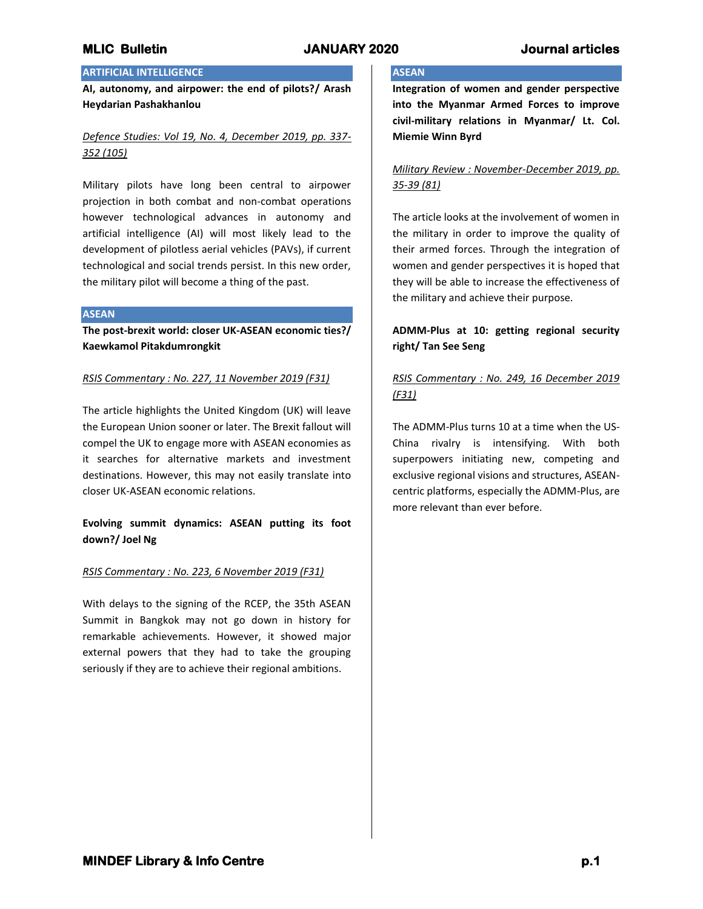# **MLIC Bulletin JANUARY 2020 Journal articles**

## **ARTIFICIAL INTELLIGENCE**

**AI, autonomy, and airpower: the end of pilots?/ Arash Heydarian Pashakhanlou**

## *Defence Studies: Vol 19, No. 4, December 2019, pp. 337- 352 (105)*

Military pilots have long been central to airpower projection in both combat and non-combat operations however technological advances in autonomy and artificial intelligence (AI) will most likely lead to the development of pilotless aerial vehicles (PAVs), if current technological and social trends persist. In this new order, the military pilot will become a thing of the past.

#### **ASEAN**

**The post-brexit world: closer UK-ASEAN economic ties?/ Kaewkamol Pitakdumrongkit**

## *RSIS Commentary : No. 227, 11 November 2019 (F31)*

The article highlights the United Kingdom (UK) will leave the European Union sooner or later. The Brexit fallout will compel the UK to engage more with ASEAN economies as it searches for alternative markets and investment destinations. However, this may not easily translate into closer UK-ASEAN economic relations.

## **Evolving summit dynamics: ASEAN putting its foot down?/ Joel Ng**

### *RSIS Commentary : No. 223, 6 November 2019 (F31)*

With delays to the signing of the RCEP, the 35th ASEAN Summit in Bangkok may not go down in history for remarkable achievements. However, it showed major external powers that they had to take the grouping seriously if they are to achieve their regional ambitions.

## **ASEAN**

**Integration of women and gender perspective into the Myanmar Armed Forces to improve civil-military relations in Myanmar/ Lt. Col. Miemie Winn Byrd**

## *Military Review : November-December 2019, pp. 35-39 (81)*

The article looks at the involvement of women in the military in order to improve the quality of their armed forces. Through the integration of women and gender perspectives it is hoped that they will be able to increase the effectiveness of the military and achieve their purpose.

# **ADMM-Plus at 10: getting regional security right/ Tan See Seng**

# *RSIS Commentary : No. 249, 16 December 2019 (F31)*

The ADMM-Plus turns 10 at a time when the US-China rivalry is intensifying. With both superpowers initiating new, competing and exclusive regional visions and structures, ASEANcentric platforms, especially the ADMM-Plus, are more relevant than ever before.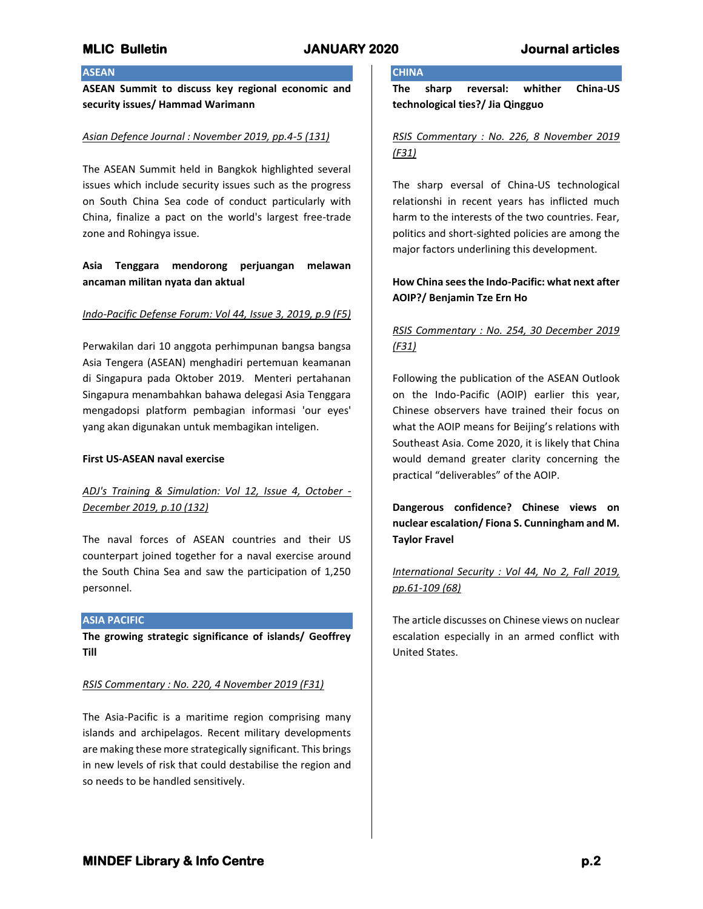## **ASEAN**

**ASEAN Summit to discuss key regional economic and security issues/ Hammad Warimann**

### *Asian Defence Journal : November 2019, pp.4-5 (131)*

The ASEAN Summit held in Bangkok highlighted several issues which include security issues such as the progress on South China Sea code of conduct particularly with China, finalize a pact on the world's largest free-trade zone and Rohingya issue.

## **Asia Tenggara mendorong perjuangan melawan ancaman militan nyata dan aktual**

### *Indo-Pacific Defense Forum: Vol 44, Issue 3, 2019, p.9 (F5)*

Perwakilan dari 10 anggota perhimpunan bangsa bangsa Asia Tengera (ASEAN) menghadiri pertemuan keamanan di Singapura pada Oktober 2019. Menteri pertahanan Singapura menambahkan bahawa delegasi Asia Tenggara mengadopsi platform pembagian informasi 'our eyes' yang akan digunakan untuk membagikan inteligen.

### **First US-ASEAN naval exercise**

## *ADJ's Training & Simulation: Vol 12, Issue 4, October - December 2019, p.10 (132)*

The naval forces of ASEAN countries and their US counterpart joined together for a naval exercise around the South China Sea and saw the participation of 1,250 personnel.

### **ASIA PACIFIC**

**The growing strategic significance of islands/ Geoffrey Till**

### *RSIS Commentary : No. 220, 4 November 2019 (F31)*

The Asia-Pacific is a maritime region comprising many islands and archipelagos. Recent military developments are making these more strategically significant. This brings in new levels of risk that could destabilise the region and so needs to be handled sensitively.

# **CHINA**

**The sharp reversal: whither China-US technological ties?/ Jia Qingguo**

## *RSIS Commentary : No. 226, 8 November 2019 (F31)*

The sharp eversal of China-US technological relationshi in recent years has inflicted much harm to the interests of the two countries. Fear, politics and short-sighted policies are among the major factors underlining this development.

## **How China sees the Indo-Pacific: what next after AOIP?/ Benjamin Tze Ern Ho**

# *RSIS Commentary : No. 254, 30 December 2019 (F31)*

Following the publication of the ASEAN Outlook on the Indo-Pacific (AOIP) earlier this year, Chinese observers have trained their focus on what the AOIP means for Beijing's relations with Southeast Asia. Come 2020, it is likely that China would demand greater clarity concerning the practical "deliverables" of the AOIP.

**Dangerous confidence? Chinese views on nuclear escalation/ Fiona S. Cunningham and M. Taylor Fravel**

*International Security : Vol 44, No 2, Fall 2019, pp.61-109 (68)*

The article discusses on Chinese views on nuclear escalation especially in an armed conflict with United States.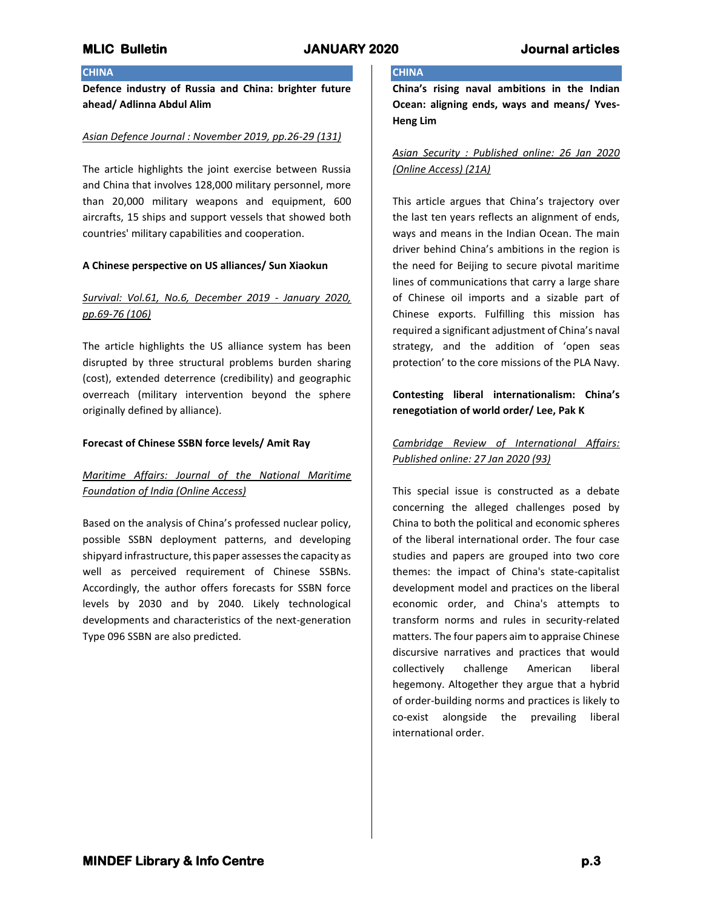## **CHINA**

**Defence industry of Russia and China: brighter future ahead/ Adlinna Abdul Alim**

### *Asian Defence Journal : November 2019, pp.26-29 (131)*

The article highlights the joint exercise between Russia and China that involves 128,000 military personnel, more than 20,000 military weapons and equipment, 600 aircrafts, 15 ships and support vessels that showed both countries' military capabilities and cooperation.

### **A Chinese perspective on US alliances/ Sun Xiaokun**

# *Survival: Vol.61, No.6, December 2019 - January 2020, pp.69-76 (106)*

The article highlights the US alliance system has been disrupted by three structural problems burden sharing (cost), extended deterrence (credibility) and geographic overreach (military intervention beyond the sphere originally defined by alliance).

### **Forecast of Chinese SSBN force levels/ Amit Ray**

## *Maritime Affairs: Journal of the National Maritime Foundation of India (Online Access)*

Based on the analysis of China's professed nuclear policy, possible SSBN deployment patterns, and developing shipyard infrastructure, this paper assesses the capacity as well as perceived requirement of Chinese SSBNs. Accordingly, the author offers forecasts for SSBN force levels by 2030 and by 2040. Likely technological developments and characteristics of the next-generation Type 096 SSBN are also predicted.

## **CHINA**

**China's rising naval ambitions in the Indian Ocean: aligning ends, ways and means/ Yves-Heng Lim**

# *Asian Security : Published online: 26 Jan 2020 (Online Access) (21A)*

This article argues that China's trajectory over the last ten years reflects an alignment of ends, ways and means in the Indian Ocean. The main driver behind China's ambitions in the region is the need for Beijing to secure pivotal maritime lines of communications that carry a large share of Chinese oil imports and a sizable part of Chinese exports. Fulfilling this mission has required a significant adjustment of China's naval strategy, and the addition of 'open seas protection' to the core missions of the PLA Navy.

# **Contesting liberal internationalism: China's renegotiation of world order/ Lee, Pak K**

## *Cambridge Review of International Affairs: Published online: 27 Jan 2020 (93)*

This special issue is constructed as a debate concerning the alleged challenges posed by China to both the political and economic spheres of the liberal international order. The four case studies and papers are grouped into two core themes: the impact of China's state-capitalist development model and practices on the liberal economic order, and China's attempts to transform norms and rules in security-related matters. The four papers aim to appraise Chinese discursive narratives and practices that would collectively challenge American liberal hegemony. Altogether they argue that a hybrid of order-building norms and practices is likely to co-exist alongside the prevailing liberal international order.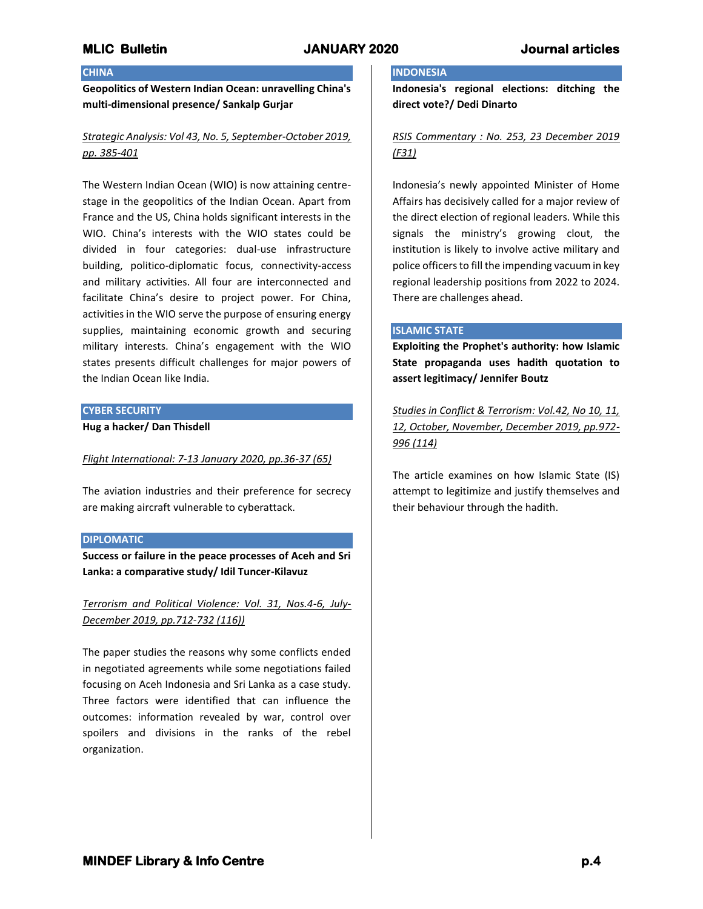## **CHINA**

**Geopolitics of Western Indian Ocean: unravelling China's multi-dimensional presence/ Sankalp Gurjar**

## *Strategic Analysis: Vol 43, No. 5, September-October 2019, pp. 385-401*

The Western Indian Ocean (WIO) is now attaining centrestage in the geopolitics of the Indian Ocean. Apart from France and the US, China holds significant interests in the WIO. China's interests with the WIO states could be divided in four categories: dual-use infrastructure building, politico-diplomatic focus, connectivity-access and military activities. All four are interconnected and facilitate China's desire to project power. For China, activities in the WIO serve the purpose of ensuring energy supplies, maintaining economic growth and securing military interests. China's engagement with the WIO states presents difficult challenges for major powers of the Indian Ocean like India.

### **CYBER SECURITY**

**Hug a hacker/ Dan Thisdell**

### *Flight International: 7-13 January 2020, pp.36-37 (65)*

The aviation industries and their preference for secrecy are making aircraft vulnerable to cyberattack.

#### **DIPLOMATIC**

**Success or failure in the peace processes of Aceh and Sri Lanka: a comparative study/ Idil Tuncer-Kilavuz**

*Terrorism and Political Violence: Vol. 31, Nos.4-6, July-December 2019, pp.712-732 (116))*

The paper studies the reasons why some conflicts ended in negotiated agreements while some negotiations failed focusing on Aceh Indonesia and Sri Lanka as a case study. Three factors were identified that can influence the outcomes: information revealed by war, control over spoilers and divisions in the ranks of the rebel organization.

# **INDONESIA**

**Indonesia's regional elections: ditching the direct vote?/ Dedi Dinarto**

## *RSIS Commentary : No. 253, 23 December 2019 (F31)*

Indonesia's newly appointed Minister of Home Affairs has decisively called for a major review of the direct election of regional leaders. While this signals the ministry's growing clout, the institution is likely to involve active military and police officers to fill the impending vacuum in key regional leadership positions from 2022 to 2024. There are challenges ahead.

### **ISLAMIC STATE**

**Exploiting the Prophet's authority: how Islamic State propaganda uses hadith quotation to assert legitimacy/ Jennifer Boutz**

*Studies in Conflict & Terrorism: Vol.42, No 10, 11, 12, October, November, December 2019, pp.972- 996 (114)*

The article examines on how Islamic State (IS) attempt to legitimize and justify themselves and their behaviour through the hadith.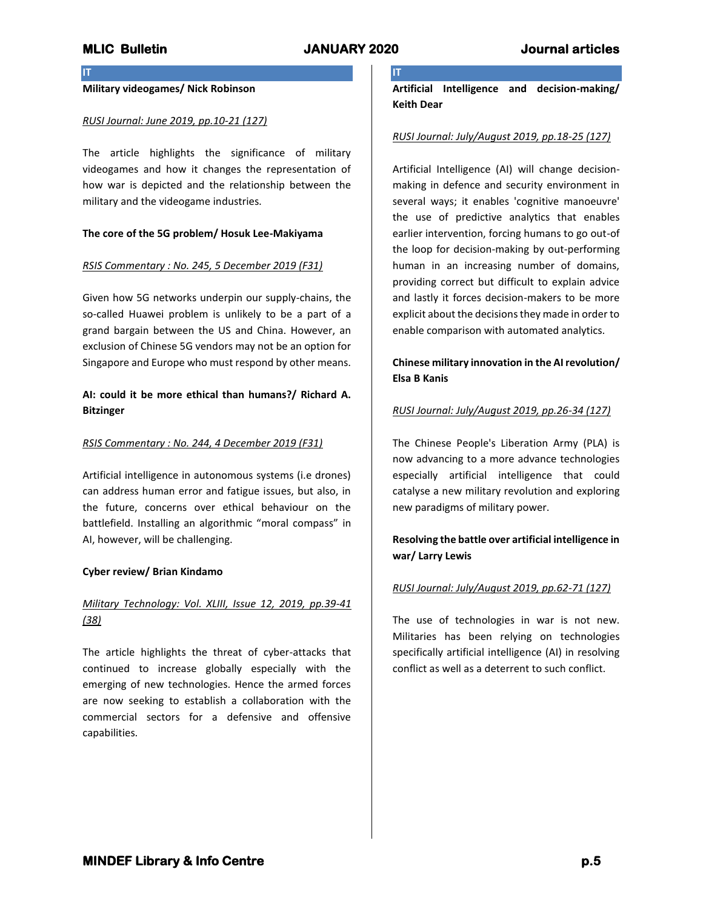**IT**

**IT**

## **Military videogames/ Nick Robinson**

### *RUSI Journal: June 2019, pp.10-21 (127)*

The article highlights the significance of military videogames and how it changes the representation of how war is depicted and the relationship between the military and the videogame industries.

## **The core of the 5G problem/ Hosuk Lee-Makiyama**

### *RSIS Commentary : No. 245, 5 December 2019 (F31)*

Given how 5G networks underpin our supply-chains, the so-called Huawei problem is unlikely to be a part of a grand bargain between the US and China. However, an exclusion of Chinese 5G vendors may not be an option for Singapore and Europe who must respond by other means.

## **AI: could it be more ethical than humans?/ Richard A. Bitzinger**

### *RSIS Commentary : No. 244, 4 December 2019 (F31)*

Artificial intelligence in autonomous systems (i.e drones) can address human error and fatigue issues, but also, in the future, concerns over ethical behaviour on the battlefield. Installing an algorithmic "moral compass" in AI, however, will be challenging.

#### **Cyber review/ Brian Kindamo**

## *Military Technology: Vol. XLIII, Issue 12, 2019, pp.39-41 (38)*

The article highlights the threat of cyber-attacks that continued to increase globally especially with the emerging of new technologies. Hence the armed forces are now seeking to establish a collaboration with the commercial sectors for a defensive and offensive capabilities.

**Artificial Intelligence and decision-making/ Keith Dear**

### *RUSI Journal: July/August 2019, pp.18-25 (127)*

Artificial Intelligence (AI) will change decisionmaking in defence and security environment in several ways; it enables 'cognitive manoeuvre' the use of predictive analytics that enables earlier intervention, forcing humans to go out-of the loop for decision-making by out-performing human in an increasing number of domains, providing correct but difficult to explain advice and lastly it forces decision-makers to be more explicit about the decisions they made in order to enable comparison with automated analytics.

## **Chinese military innovation in the AI revolution/ Elsa B Kanis**

### *RUSI Journal: July/August 2019, pp.26-34 (127)*

The Chinese People's Liberation Army (PLA) is now advancing to a more advance technologies especially artificial intelligence that could catalyse a new military revolution and exploring new paradigms of military power.

# **Resolving the battle over artificial intelligence in war/ Larry Lewis**

### *RUSI Journal: July/August 2019, pp.62-71 (127)*

The use of technologies in war is not new. Militaries has been relying on technologies specifically artificial intelligence (AI) in resolving conflict as well as a deterrent to such conflict.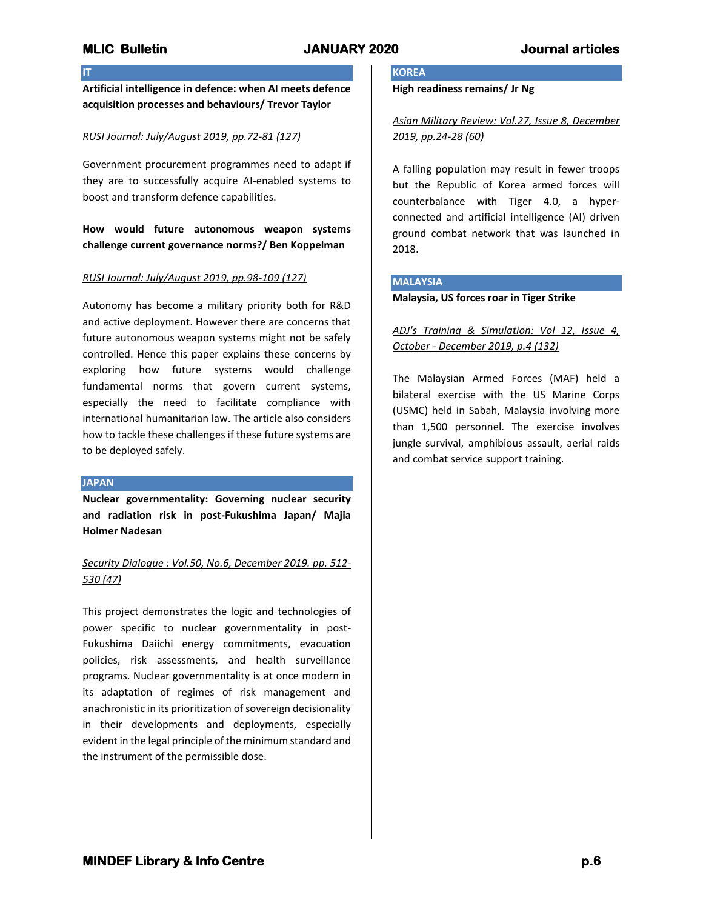## **IT**

**Artificial intelligence in defence: when AI meets defence acquisition processes and behaviours/ Trevor Taylor**

## *RUSI Journal: July/August 2019, pp.72-81 (127)*

Government procurement programmes need to adapt if they are to successfully acquire AI-enabled systems to boost and transform defence capabilities.

**How would future autonomous weapon systems challenge current governance norms?/ Ben Koppelman**

### *RUSI Journal: July/August 2019, pp.98-109 (127)*

Autonomy has become a military priority both for R&D and active deployment. However there are concerns that future autonomous weapon systems might not be safely controlled. Hence this paper explains these concerns by exploring how future systems would challenge fundamental norms that govern current systems, especially the need to facilitate compliance with international humanitarian law. The article also considers how to tackle these challenges if these future systems are to be deployed safely.

### **JAPAN**

**Nuclear governmentality: Governing nuclear security and radiation risk in post-Fukushima Japan/ Majia Holmer Nadesan**

# *Security Dialogue : Vol.50, No.6, December 2019. pp. 512- 530 (47)*

This project demonstrates the logic and technologies of power specific to nuclear governmentality in post-Fukushima Daiichi energy commitments, evacuation policies, risk assessments, and health surveillance programs. Nuclear governmentality is at once modern in its adaptation of regimes of risk management and anachronistic in its prioritization of sovereign decisionality in their developments and deployments, especially evident in the legal principle of the minimum standard and the instrument of the permissible dose.

# **KOREA**

**High readiness remains/ Jr Ng**

*Asian Military Review: Vol.27, Issue 8, December 2019, pp.24-28 (60)*

A falling population may result in fewer troops but the Republic of Korea armed forces will counterbalance with Tiger 4.0, a hyperconnected and artificial intelligence (AI) driven ground combat network that was launched in 2018.

### **MALAYSIA**

**Malaysia, US forces roar in Tiger Strike**

## *ADJ's Training & Simulation: Vol 12, Issue 4, October - December 2019, p.4 (132)*

The Malaysian Armed Forces (MAF) held a bilateral exercise with the US Marine Corps (USMC) held in Sabah, Malaysia involving more than 1,500 personnel. The exercise involves jungle survival, amphibious assault, aerial raids and combat service support training.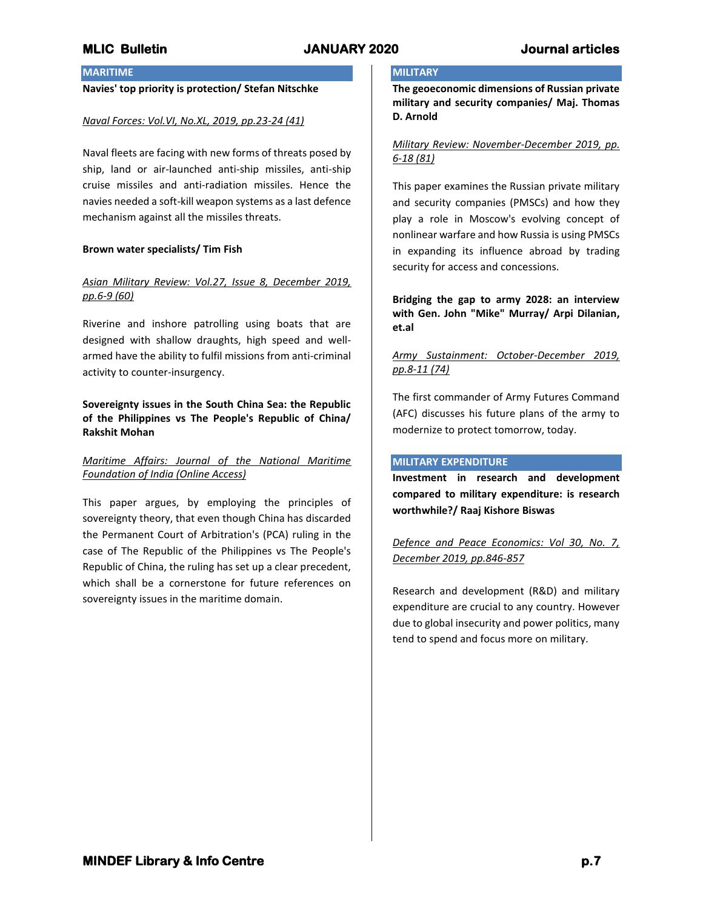## **MARITIME**

## **Navies' top priority is protection/ Stefan Nitschke**

#### *Naval Forces: Vol.VI, No.XL, 2019, pp.23-24 (41)*

Naval fleets are facing with new forms of threats posed by ship, land or air-launched anti-ship missiles, anti-ship cruise missiles and anti-radiation missiles. Hence the navies needed a soft-kill weapon systems as a last defence mechanism against all the missiles threats.

### **Brown water specialists/ Tim Fish**

## *Asian Military Review: Vol.27, Issue 8, December 2019, pp.6-9 (60)*

Riverine and inshore patrolling using boats that are designed with shallow draughts, high speed and wellarmed have the ability to fulfil missions from anti-criminal activity to counter-insurgency.

## **Sovereignty issues in the South China Sea: the Republic of the Philippines vs The People's Republic of China/ Rakshit Mohan**

## *Maritime Affairs: Journal of the National Maritime Foundation of India (Online Access)*

This paper argues, by employing the principles of sovereignty theory, that even though China has discarded the Permanent Court of Arbitration's (PCA) ruling in the case of The Republic of the Philippines vs The People's Republic of China, the ruling has set up a clear precedent, which shall be a cornerstone for future references on sovereignty issues in the maritime domain.

### **MILITARY**

**The geoeconomic dimensions of Russian private military and security companies/ Maj. Thomas D. Arnold**

## *Military Review: November-December 2019, pp. 6-18 (81)*

This paper examines the Russian private military and security companies (PMSCs) and how they play a role in Moscow's evolving concept of nonlinear warfare and how Russia is using PMSCs in expanding its influence abroad by trading security for access and concessions.

**Bridging the gap to army 2028: an interview with Gen. John "Mike" Murray/ Arpi Dilanian, et.al**

## *Army Sustainment: October-December 2019, pp.8-11 (74)*

The first commander of Army Futures Command (AFC) discusses his future plans of the army to modernize to protect tomorrow, today.

### **MILITARY EXPENDITURE**

**Investment in research and development compared to military expenditure: is research worthwhile?/ Raaj Kishore Biswas**

*Defence and Peace Economics: Vol 30, No. 7, December 2019, pp.846-857*

Research and development (R&D) and military expenditure are crucial to any country. However due to global insecurity and power politics, many tend to spend and focus more on military.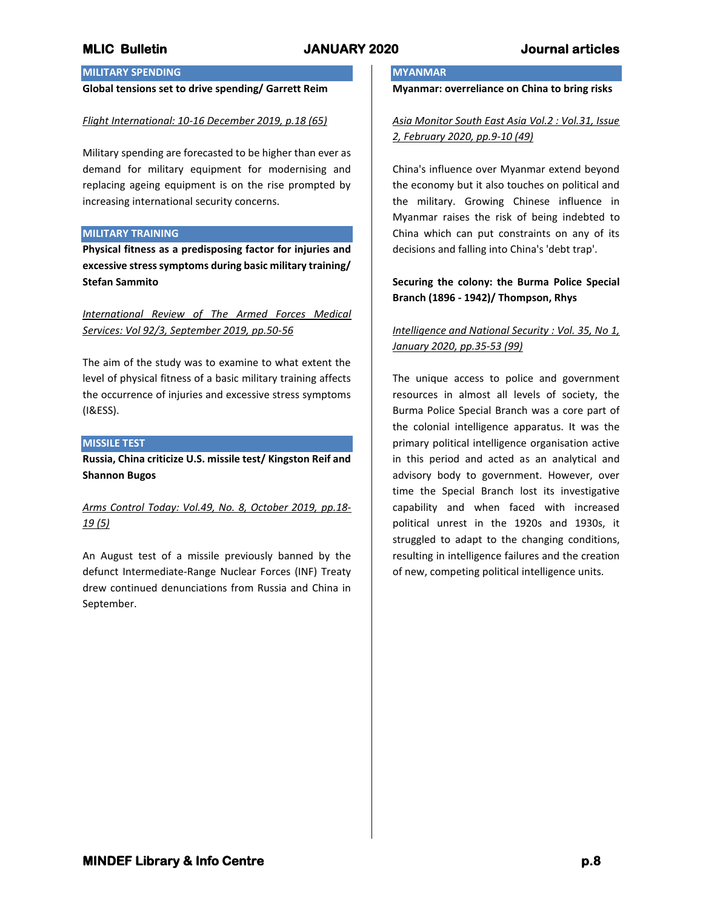# **MILITARY SPENDING**

## **Global tensions set to drive spending/ Garrett Reim**

### *Flight International: 10-16 December 2019, p.18 (65)*

Military spending are forecasted to be higher than ever as demand for military equipment for modernising and replacing ageing equipment is on the rise prompted by increasing international security concerns.

## **MILITARY TRAINING**

**Physical fitness as a predisposing factor for injuries and excessive stress symptoms during basic military training/ Stefan Sammito**

*International Review of The Armed Forces Medical Services: Vol 92/3, September 2019, pp.50-56*

The aim of the study was to examine to what extent the level of physical fitness of a basic military training affects the occurrence of injuries and excessive stress symptoms (I&ESS).

### **MISSILE TEST**

**Russia, China criticize U.S. missile test/ Kingston Reif and Shannon Bugos**

*Arms Control Today: Vol.49, No. 8, October 2019, pp.18- 19 (5)*

An August test of a missile previously banned by the defunct Intermediate-Range Nuclear Forces (INF) Treaty drew continued denunciations from Russia and China in September.

## **MYANMAR**

**Myanmar: overreliance on China to bring risks**

*Asia Monitor South East Asia Vol.2 : Vol.31, Issue 2, February 2020, pp.9-10 (49)*

China's influence over Myanmar extend beyond the economy but it also touches on political and the military. Growing Chinese influence in Myanmar raises the risk of being indebted to China which can put constraints on any of its decisions and falling into China's 'debt trap'.

## **Securing the colony: the Burma Police Special Branch (1896 - 1942)/ Thompson, Rhys**

# *Intelligence and National Security : Vol. 35, No 1, January 2020, pp.35-53 (99)*

The unique access to police and government resources in almost all levels of society, the Burma Police Special Branch was a core part of the colonial intelligence apparatus. It was the primary political intelligence organisation active in this period and acted as an analytical and advisory body to government. However, over time the Special Branch lost its investigative capability and when faced with increased political unrest in the 1920s and 1930s, it struggled to adapt to the changing conditions, resulting in intelligence failures and the creation of new, competing political intelligence units.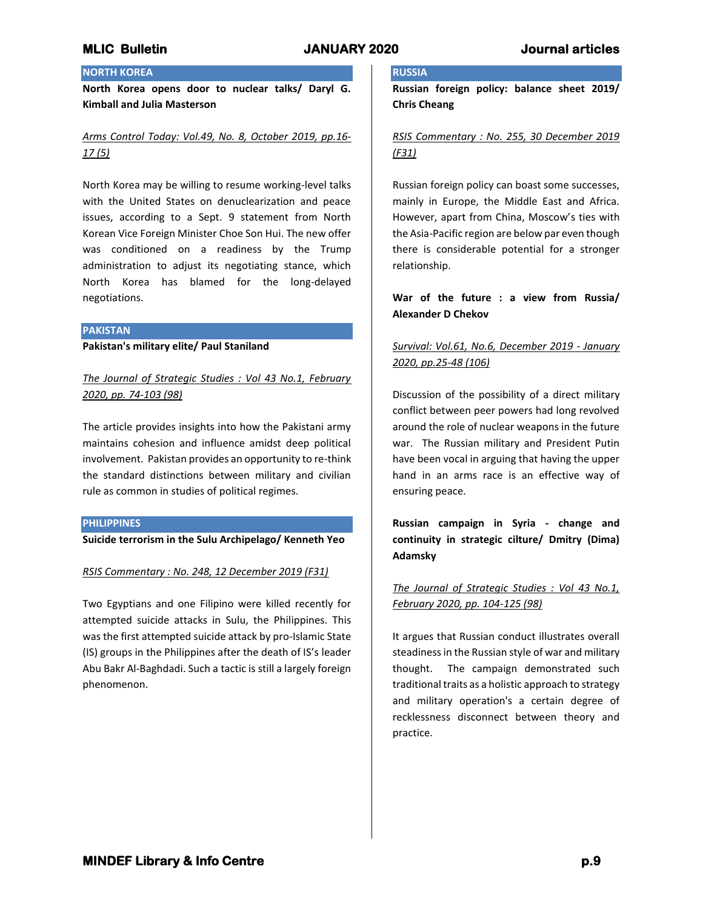# **NORTH KOREA**

**North Korea opens door to nuclear talks/ Daryl G. Kimball and Julia Masterson**

# *Arms Control Today: Vol.49, No. 8, October 2019, pp.16- 17 (5)*

North Korea may be willing to resume working-level talks with the United States on denuclearization and peace issues, according to a Sept. 9 statement from North Korean Vice Foreign Minister Choe Son Hui. The new offer was conditioned on a readiness by the Trump administration to adjust its negotiating stance, which North Korea has blamed for the long-delayed negotiations.

#### **PAKISTAN**

**Pakistan's military elite/ Paul Staniland**

*The Journal of Strategic Studies : Vol 43 No.1, February 2020, pp. 74-103 (98)*

The article provides insights into how the Pakistani army maintains cohesion and influence amidst deep political involvement. Pakistan provides an opportunity to re-think the standard distinctions between military and civilian rule as common in studies of political regimes.

### **PHILIPPINES**

**Suicide terrorism in the Sulu Archipelago/ Kenneth Yeo**

*RSIS Commentary : No. 248, 12 December 2019 (F31)*

Two Egyptians and one Filipino were killed recently for attempted suicide attacks in Sulu, the Philippines. This was the first attempted suicide attack by pro-Islamic State (IS) groups in the Philippines after the death of IS's leader Abu Bakr Al-Baghdadi. Such a tactic is still a largely foreign phenomenon.

## **RUSSIA**

**Russian foreign policy: balance sheet 2019/ Chris Cheang**

## *RSIS Commentary : No. 255, 30 December 2019 (F31)*

Russian foreign policy can boast some successes, mainly in Europe, the Middle East and Africa. However, apart from China, Moscow's ties with the Asia-Pacific region are below par even though there is considerable potential for a stronger relationship.

**War of the future : a view from Russia/ Alexander D Chekov**

# *Survival: Vol.61, No.6, December 2019 - January 2020, pp.25-48 (106)*

Discussion of the possibility of a direct military conflict between peer powers had long revolved around the role of nuclear weapons in the future war. The Russian military and President Putin have been vocal in arguing that having the upper hand in an arms race is an effective way of ensuring peace.

**Russian campaign in Syria - change and continuity in strategic cilture/ Dmitry (Dima) Adamsky**

## *The Journal of Strategic Studies : Vol 43 No.1, February 2020, pp. 104-125 (98)*

It argues that Russian conduct illustrates overall steadiness in the Russian style of war and military thought. The campaign demonstrated such traditional traits as a holistic approach to strategy and military operation's a certain degree of recklessness disconnect between theory and practice.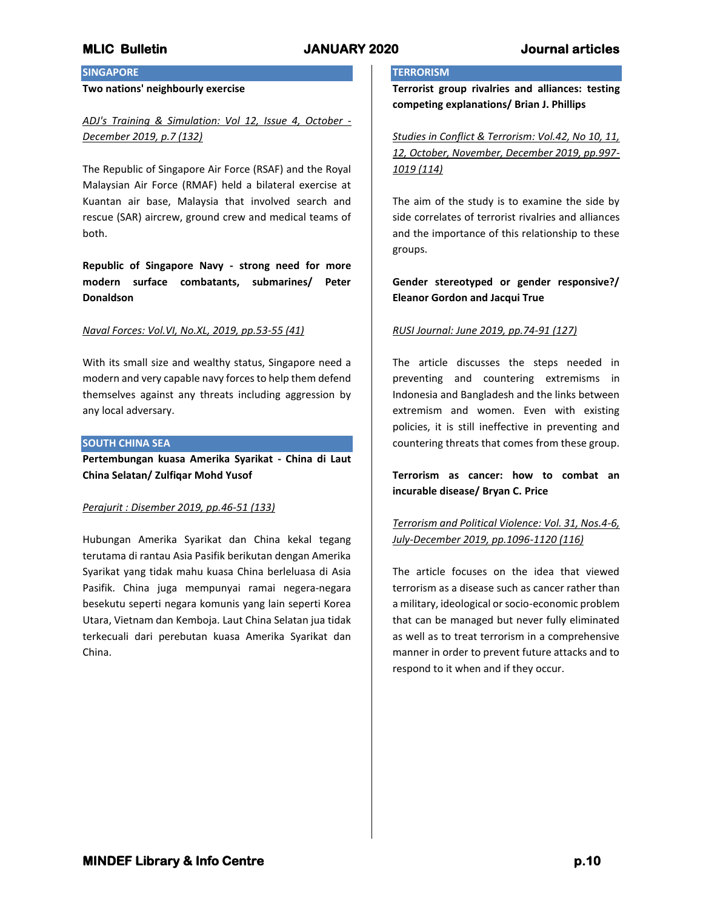# **SINGAPORE**

### **Two nations' neighbourly exercise**

*ADJ's Training & Simulation: Vol 12, Issue 4, October - December 2019, p.7 (132)*

The Republic of Singapore Air Force (RSAF) and the Royal Malaysian Air Force (RMAF) held a bilateral exercise at Kuantan air base, Malaysia that involved search and rescue (SAR) aircrew, ground crew and medical teams of both.

**Republic of Singapore Navy - strong need for more modern surface combatants, submarines/ Peter Donaldson**

### *Naval Forces: Vol.VI, No.XL, 2019, pp.53-55 (41)*

With its small size and wealthy status, Singapore need a modern and very capable navy forces to help them defend themselves against any threats including aggression by any local adversary.

## **SOUTH CHINA SEA**

**Pertembungan kuasa Amerika Syarikat - China di Laut China Selatan/ Zulfiqar Mohd Yusof**

### *Perajurit : Disember 2019, pp.46-51 (133)*

Hubungan Amerika Syarikat dan China kekal tegang terutama di rantau Asia Pasifik berikutan dengan Amerika Syarikat yang tidak mahu kuasa China berleluasa di Asia Pasifik. China juga mempunyai ramai negera-negara besekutu seperti negara komunis yang lain seperti Korea Utara, Vietnam dan Kemboja. Laut China Selatan jua tidak terkecuali dari perebutan kuasa Amerika Syarikat dan China.

## **TERRORISM**

**Terrorist group rivalries and alliances: testing competing explanations/ Brian J. Phillips**

*Studies in Conflict & Terrorism: Vol.42, No 10, 11, 12, October, November, December 2019, pp.997- 1019 (114)*

The aim of the study is to examine the side by side correlates of terrorist rivalries and alliances and the importance of this relationship to these groups.

## **Gender stereotyped or gender responsive?/ Eleanor Gordon and Jacqui True**

## *RUSI Journal: June 2019, pp.74-91 (127)*

The article discusses the steps needed in preventing and countering extremisms in Indonesia and Bangladesh and the links between extremism and women. Even with existing policies, it is still ineffective in preventing and countering threats that comes from these group.

**Terrorism as cancer: how to combat an incurable disease/ Bryan C. Price**

# *Terrorism and Political Violence: Vol. 31, Nos.4-6, July-December 2019, pp.1096-1120 (116)*

The article focuses on the idea that viewed terrorism as a disease such as cancer rather than a military, ideological or socio-economic problem that can be managed but never fully eliminated as well as to treat terrorism in a comprehensive manner in order to prevent future attacks and to respond to it when and if they occur.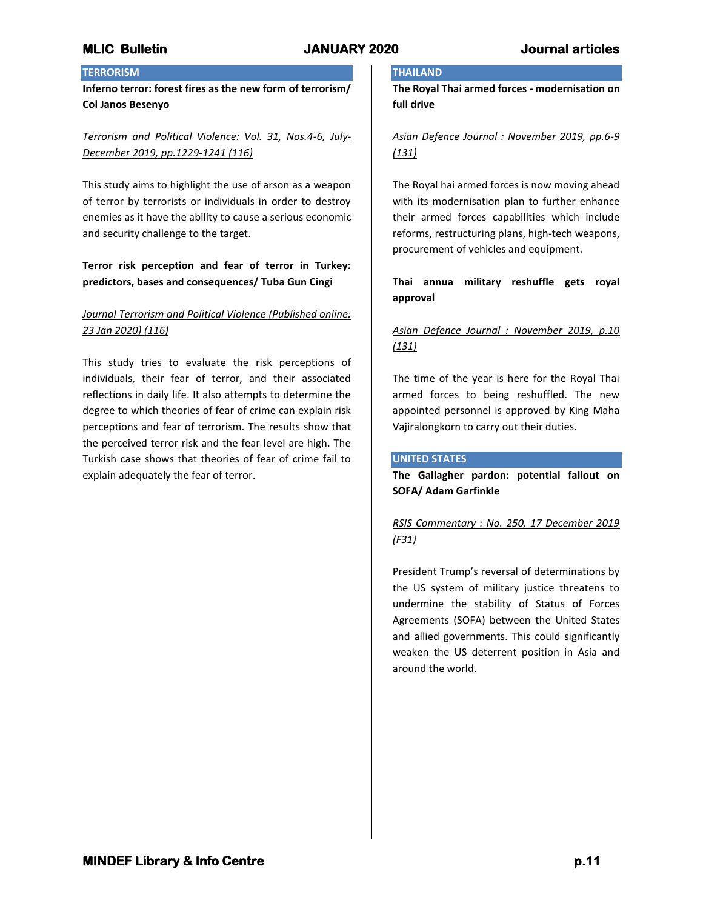# **TERRORISM**

**Inferno terror: forest fires as the new form of terrorism/ Col Janos Besenyo**

# *Terrorism and Political Violence: Vol. 31, Nos.4-6, July-December 2019, pp.1229-1241 (116)*

This study aims to highlight the use of arson as a weapon of terror by terrorists or individuals in order to destroy enemies as it have the ability to cause a serious economic and security challenge to the target.

# **Terror risk perception and fear of terror in Turkey: predictors, bases and consequences/ Tuba Gun Cingi**

# *Journal Terrorism and Political Violence (Published online: 23 Jan 2020) (116)*

This study tries to evaluate the risk perceptions of individuals, their fear of terror, and their associated reflections in daily life. It also attempts to determine the degree to which theories of fear of crime can explain risk perceptions and fear of terrorism. The results show that the perceived terror risk and the fear level are high. The Turkish case shows that theories of fear of crime fail to explain adequately the fear of terror.

## **THAILAND**

**The Royal Thai armed forces - modernisation on full drive**

## *Asian Defence Journal : November 2019, pp.6-9 (131)*

The Royal hai armed forces is now moving ahead with its modernisation plan to further enhance their armed forces capabilities which include reforms, restructuring plans, high-tech weapons, procurement of vehicles and equipment.

# **Thai annua military reshuffle gets royal approval**

# *Asian Defence Journal : November 2019, p.10 (131)*

The time of the year is here for the Royal Thai armed forces to being reshuffled. The new appointed personnel is approved by King Maha Vajiralongkorn to carry out their duties.

## **UNITED STATES**

**The Gallagher pardon: potential fallout on SOFA/ Adam Garfinkle**

# *RSIS Commentary : No. 250, 17 December 2019 (F31)*

President Trump's reversal of determinations by the US system of military justice threatens to undermine the stability of Status of Forces Agreements (SOFA) between the United States and allied governments. This could significantly weaken the US deterrent position in Asia and around the world.